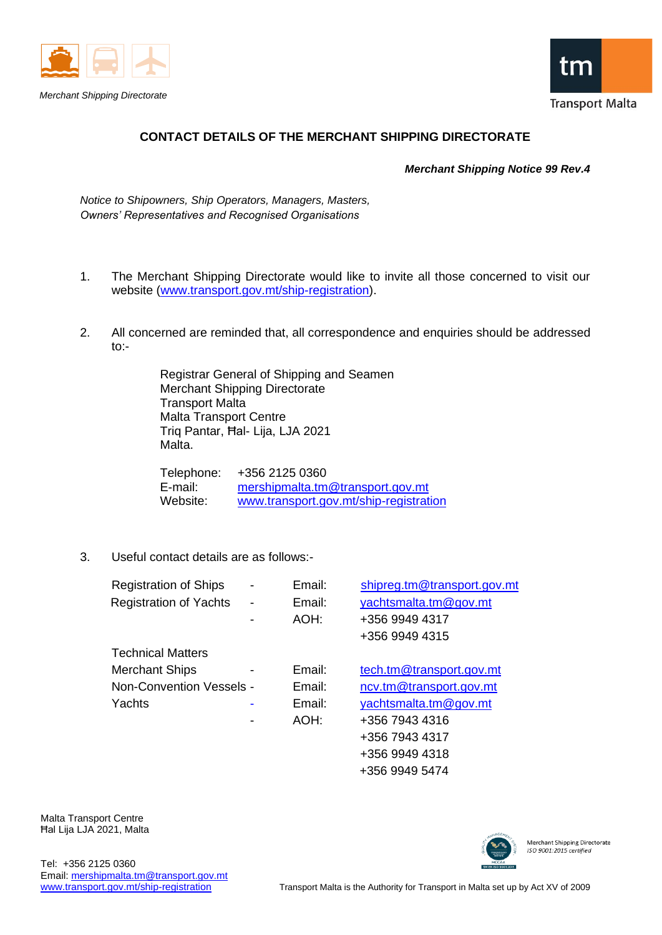





## **CONTACT DETAILS OF THE MERCHANT SHIPPING DIRECTORATE**

 *Merchant Shipping Notice 99 Rev.4*

*Notice to Shipowners, Ship Operators, Managers, Masters, Owners' Representatives and Recognised Organisations*

- 1. The Merchant Shipping Directorate would like to invite all those concerned to visit our website [\(www.transport.gov.mt/ship-registration\)](http://www.transport.gov.mt/ship-registration).
- 2. All concerned are reminded that, all correspondence and enquiries should be addressed to:-

Registrar General of Shipping and Seamen Merchant Shipping Directorate Transport Malta Malta Transport Centre Triq Pantar, Ħal- Lija, LJA 2021 Malta.

Telephone: +356 2125 0360 E-mail: [mershipmalta.tm@transport.gov.mt](mailto:mershipmalta.tm@transport.gov.mt) Website: [www.transport.gov.mt/ship-registration](http://www.transport.gov.mt/ship-registration)

3. Useful contact details are as follows:-

| <b>Registration of Ships</b>    | - | Email: | shipreg.tm@transport.gov.mt |
|---------------------------------|---|--------|-----------------------------|
| <b>Registration of Yachts</b>   | - | Email: | yachtsmalta.tm@gov.mt       |
|                                 |   | AOH:   | +356 9949 4317              |
|                                 |   |        | +356 9949 4315              |
| <b>Technical Matters</b>        |   |        |                             |
| <b>Merchant Ships</b>           |   | Email: | tech.tm@transport.gov.mt    |
| <b>Non-Convention Vessels -</b> |   | Email: | ncv.tm@transport.gov.mt     |
| Yachts                          |   | Email: | yachtsmalta.tm@gov.mt       |
|                                 |   | AOH:   | +356 7943 4316              |
|                                 |   |        | +356 7943 4317              |
|                                 |   |        | +356 9949 4318              |

Malta Transport Centre Ħal Lija LJA 2021, Malta



Merchant Shipping Directorate ISO 9001:2015 certified

+356 9949 5474